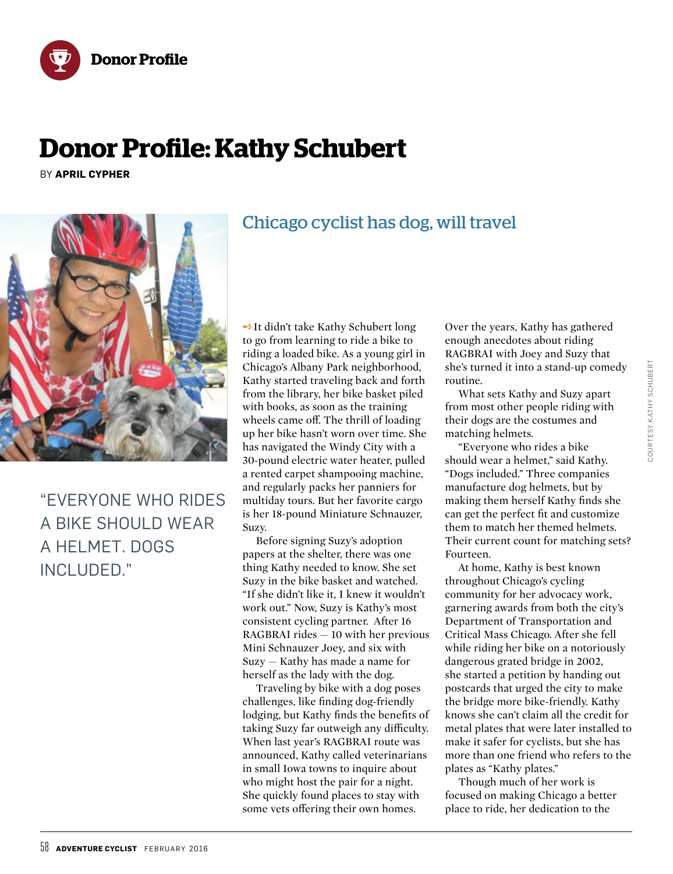



## **Donor Profile**

# **Donor Profile: Kathy Schubert**

BY **APRIL CYPHER**



"EVERYONE WHO RIDES A BIKE SHOULD WEAR A HELMET. DOGS INCLUDED."

**→ It didn't take Kathy Schubert long** to go from learning to ride a bike to riding a loaded bike. As a young girl in Chicago's Albany Park neighborhood, Kathy started traveling back and forth from the library, her bike basket piled with books, as soon as the training wheels came off. The thrill of loading up her bike hasn't worn over time. She has navigated the Windy City with a 30-pound electric water heater, pulled a rented carpet shampooing machine, and regularly packs her panniers for multiday tours. But her favorite cargo is her 18-pound Miniature Schnauzer, Suzy.

Before signing Suzy's adoption papers at the shelter, there was one thing Kathy needed to know. She set Suzy in the bike basket and watched. "If she didn't like it, I knew it wouldn't work out." Now, Suzy is Kathy's most consistent cycling partner. After 16 RAGBRAI rides — 10 with her previous Mini Schnauzer Joey, and six with Suzy — Kathy has made a name for herself as the lady with the dog.

Traveling by bike with a dog poses challenges, like finding dog-friendly lodging, but Kathy finds the benefits of taking Suzy far outweigh any difficulty. When last year's RAGBRAI route was announced, Kathy called veterinarians in small Iowa towns to inquire about who might host the pair for a night. She quickly found places to stay with some vets offering their own homes.

Over the years, Kathy has gathered enough anecdotes about riding RAGBRAI with Joey and Suzy that she's turned it into a stand-up comedy routine.

What sets Kathy and Suzy apart from most other people riding with their dogs are the costumes and matching helmets.

"Everyone who rides a bike should wear a helmet," said Kathy. "Dogs included." Three companies manufacture dog helmets, but by making them herself Kathy finds she can get the perfect fit and customize them to match her themed helmets. Their current count for matching sets? Fourteen.

At home, Kathy is best known throughout Chicago's cycling community for her advocacy work, garnering awards from both the city's Department of Transportation and Critical Mass Chicago. After she fell while riding her bike on a notoriously dangerous grated bridge in 2002, she started a petition by handing out postcards that urged the city to make the bridge more bike-friendly. Kathy knows she can't claim all the credit for metal plates that were later installed to make it safer for cyclists, but she has more than one friend who refers to the plates as "Kathy plates."

Though much of her work is focused on making Chicago a better place to ride, her dedication to the

## Chicago cyclist has dog, will travel